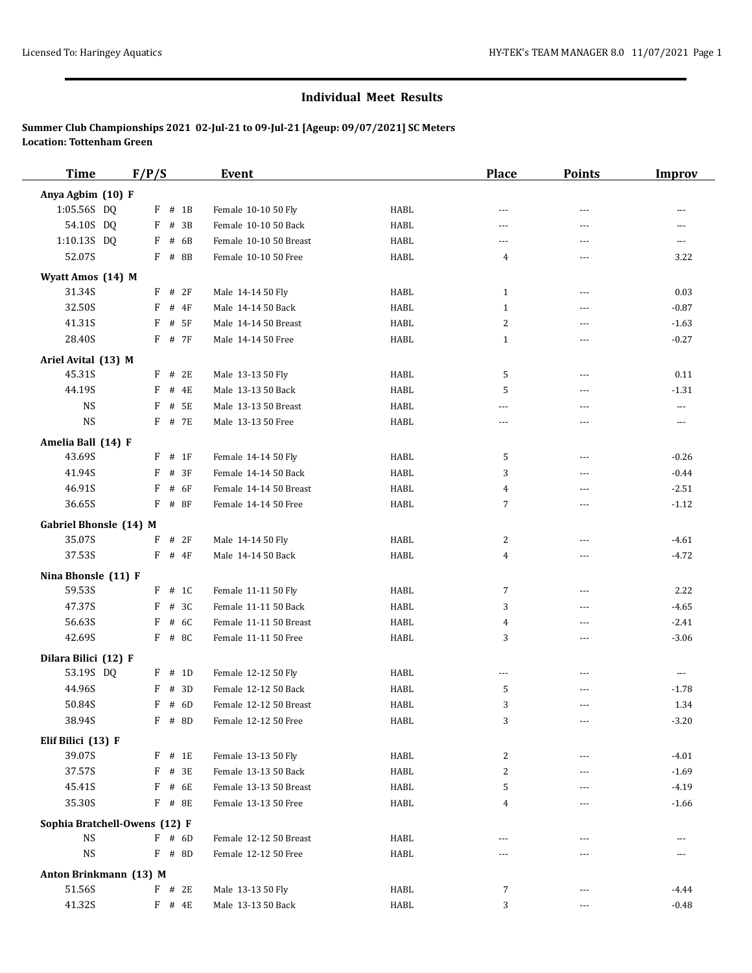| <b>Time</b>                   | F/P/S |            | <b>Event</b>           |             | <b>Place</b>   | <b>Points</b>     | <b>Improv</b>            |
|-------------------------------|-------|------------|------------------------|-------------|----------------|-------------------|--------------------------|
| Anya Agbim (10) F             |       |            |                        |             |                |                   |                          |
| 1:05.56S DQ                   |       | $F$ # 1B   | Female 10-10 50 Fly    | <b>HABL</b> | $\overline{a}$ | $\sim$ $\sim$     | $- - -$                  |
| 54.10S DQ                     | F     | # 3B       | Female 10-10 50 Back   | <b>HABL</b> | ---            | ---               | ---                      |
| 1:10.13S DQ                   | F     | # 6B       | Female 10-10 50 Breast | <b>HABL</b> | ---            | ---               | $\cdots$                 |
| 52.07S                        |       | F # 8B     | Female 10-10 50 Free   | HABL        | 4              | ---               | 3.22                     |
| Wyatt Amos (14) M             |       |            |                        |             |                |                   |                          |
| 31.34S                        | F     | # 2F       | Male 14-14 50 Fly      | <b>HABL</b> | $\mathbf{1}$   | $\cdots$          | 0.03                     |
| 32.50S                        | F     | # 4F       | Male 14-14 50 Back     | <b>HABL</b> | 1              | $---$             | $-0.87$                  |
| 41.31S                        | F     | # 5F       | Male 14-14 50 Breast   | <b>HABL</b> | 2              | $\overline{a}$    | $-1.63$                  |
| 28.40S                        |       | F # 7F     | Male 14-14 50 Free     | <b>HABL</b> | $\mathbf{1}$   | ---               | $-0.27$                  |
| Ariel Avital (13) M           |       |            |                        |             |                |                   |                          |
| 45.31S                        | F     | # 2E       | Male 13-13 50 Fly      | HABL        | 5              | $\overline{a}$    | 0.11                     |
| 44.19S                        | F     | # 4E       | Male 13-13 50 Back     | <b>HABL</b> | 5              | $\overline{a}$    | $-1.31$                  |
| <b>NS</b>                     | F     | # 5E       | Male 13-13 50 Breast   | <b>HABL</b> | ---            | ---               | $\overline{\phantom{a}}$ |
| <b>NS</b>                     |       | F # 7E     | Male 13-13 50 Free     | HABL        | $---$          | $- - -$           | $\cdots$                 |
| Amelia Ball (14) F            |       |            |                        |             |                |                   |                          |
| 43.69S                        | F     | $#$ 1F     | Female 14-14 50 Fly    | HABL        | 5              | $\sim$ $\sim$     | $-0.26$                  |
| 41.94S                        | F     | # 3F       | Female 14-14 50 Back   | <b>HABL</b> | 3              | $\overline{a}$    | $-0.44$                  |
| 46.91S                        | F     | # 6F       | Female 14-14 50 Breast | HABL        | 4              | ---               | $-2.51$                  |
| 36.65S                        | F     | # 8F       | Female 14-14 50 Free   | <b>HABL</b> | 7              | ---               | $-1.12$                  |
| Gabriel Bhonsle (14) M        |       |            |                        |             |                |                   |                          |
| 35.07S                        | F     | # 2F       | Male 14-14 50 Fly      | HABL        | 2              | $---$             | $-4.61$                  |
| 37.53S                        | F     | $#$ 4F     | Male 14-14 50 Back     | <b>HABL</b> | $\overline{4}$ | ---               | $-4.72$                  |
| Nina Bhonsle (11) F           |       |            |                        |             |                |                   |                          |
| 59.53S                        |       | $F$ # 1C   | Female 11-11 50 Fly    | HABL        | 7              | $\overline{a}$    | 2.22                     |
| 47.37S                        | F     | # 3C       | Female 11-11 50 Back   | HABL        | 3              | $---$             | $-4.65$                  |
| 56.63S                        | F     | # 6C       | Female 11-11 50 Breast | <b>HABL</b> | 4              | $\overline{a}$    | $-2.41$                  |
| 42.69S                        |       | F # 8C     | Female 11-11 50 Free   | HABL        | 3              | ---               | $-3.06$                  |
| Dilara Bilici (12) F          |       |            |                        |             |                |                   |                          |
| 53.19S DQ                     | F     | # 1D       | Female 12-12 50 Fly    | HABL        | ---            | $---$             | $\cdots$                 |
| 44.96S                        | F     | # 3D       | Female 12-12 50 Back   | <b>HABL</b> | 5              | $\overline{a}$    | $-1.78$                  |
| 50.84S                        | F     | # 6D       | Female 12-12 50 Breast | <b>HABL</b> | 3              | ---               | 1.34                     |
| 38.94S                        |       | $F$ # 8D   | Female 12-12 50 Free   | HABL        | 3              | $\qquad \qquad -$ | $-3.20$                  |
| Elif Bilici (13) F            |       |            |                        |             |                |                   |                          |
| 39.07S                        |       | $F$ # 1E   | Female 13-13 50 Fly    | HABL        | 2              | $- - -$           | $-4.01$                  |
| 37.57S                        | F     | # 3E       | Female 13-13 50 Back   | HABL        | 2              | $- - -$           | $-1.69$                  |
| 45.41S                        | F     | # 6E       | Female 13-13 50 Breast | HABL        | 5              |                   | $-4.19$                  |
| 35.30S                        |       | F # 8E     | Female 13-13 50 Free   | HABL        | 4              | $- - -$           | $-1.66$                  |
| Sophia Bratchell-Owens (12) F |       |            |                        |             |                |                   |                          |
| <b>NS</b>                     |       | $F$ # 6D   | Female 12-12 50 Breast | HABL        | $- - -$        | $---$             | $---$                    |
| $_{\rm NS}$                   |       | $F$ # 8D   | Female 12-12 50 Free   | HABL        | ---            | ---               |                          |
| Anton Brinkmann (13) M        |       |            |                        |             |                |                   |                          |
| 51.56S                        |       | $F$ # 2E   | Male 13-13 50 Fly      | HABL        | 7              | ---               | $-4.44$                  |
| 41.32S                        |       | $F$ # $4E$ | Male 13-13 50 Back     | HABL        | 3              | $\cdots$          | $-0.48$                  |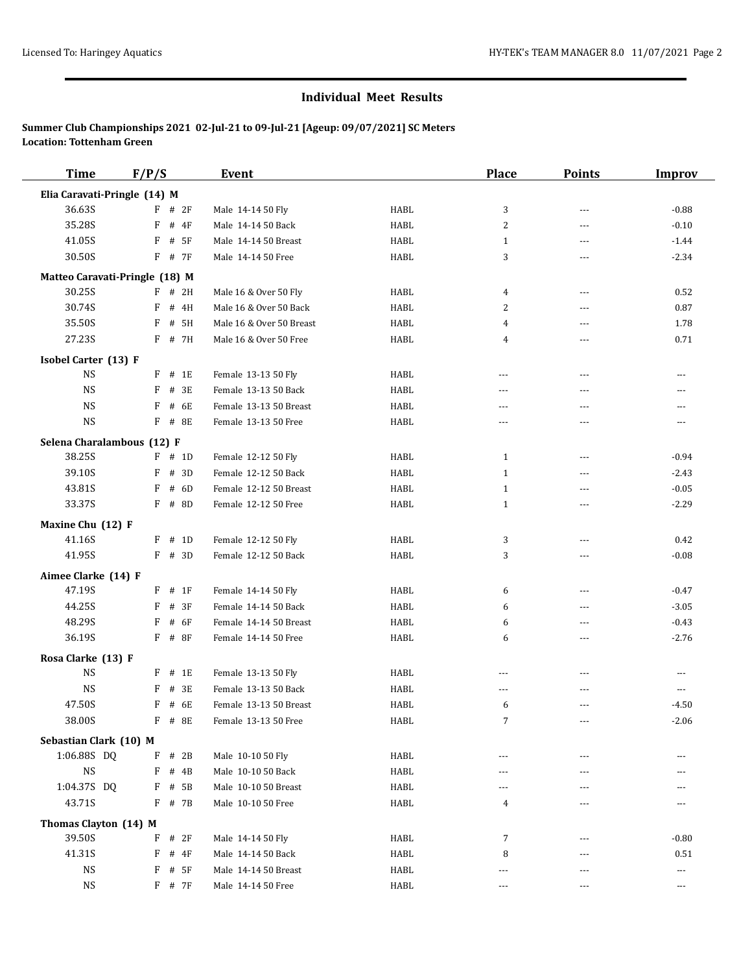| <b>Time</b>                    | F/P/S        |             | <b>Event</b>             |             | <b>Place</b>            | <b>Points</b>  | <b>Improv</b> |
|--------------------------------|--------------|-------------|--------------------------|-------------|-------------------------|----------------|---------------|
| Elia Caravati-Pringle (14) M   |              |             |                          |             |                         |                |               |
| 36.63S                         | F            | # 2F        | Male 14-14 50 Fly        | HABL        | 3                       | $\overline{a}$ | $-0.88$       |
| 35.28S                         | F            | $#$ 4F      | Male 14-14 50 Back       | HABL        | $\overline{\mathbf{c}}$ | ---            | $-0.10$       |
| 41.05S                         | F            | # 5F        | Male 14-14 50 Breast     | HABL        | $\mathbf{1}$            | $- - -$        | $-1.44$       |
| 30.50S                         | F            | # 7F        | Male 14-14 50 Free       | <b>HABL</b> | 3                       | $\overline{a}$ | $-2.34$       |
| Matteo Caravati-Pringle (18) M |              |             |                          |             |                         |                |               |
| 30.25S                         |              | $F$ # 2H    | Male 16 & Over 50 Fly    | <b>HABL</b> | 4                       | $\sim$ $\sim$  | 0.52          |
| 30.74S                         | F            | # 4H        | Male 16 & Over 50 Back   | HABL        | 2                       | $---$          | 0.87          |
| 35.50S                         | F            | # 5H        | Male 16 & Over 50 Breast | <b>HABL</b> | 4                       | $\overline{a}$ | 1.78          |
| 27.23S                         |              | F # 7H      | Male 16 & Over 50 Free   | HABL        | 4                       | ---            | 0.71          |
| Isobel Carter (13) F           |              |             |                          |             |                         |                |               |
| <b>NS</b>                      | $\mathbf{F}$ | # 1E        | Female 13-13 50 Fly      | <b>HABL</b> | ---                     | $\cdots$       | $\cdots$      |
| <b>NS</b>                      | F            | # 3E        | Female 13-13 50 Back     | HABL        | $- - -$                 | $\overline{a}$ | $---$         |
| <b>NS</b>                      | F            | # 6E        | Female 13-13 50 Breast   | HABL        | ---                     | ---            | $---$         |
| <b>NS</b>                      | F            | # 8E        | Female 13-13 50 Free     | HABL        | ---                     | ---            | $- - -$       |
| Selena Charalambous (12) F     |              |             |                          |             |                         |                |               |
| 38.25S                         |              | $F$ # 1D    | Female 12-12 50 Fly      | HABL        | $\mathbf{1}$            | $\overline{a}$ | $-0.94$       |
| 39.10S                         | F            | # 3D        | Female 12-12 50 Back     | HABL        | $\mathbf{1}$            | $\overline{a}$ | $-2.43$       |
| 43.81S                         | F            | # 6D        | Female 12-12 50 Breast   | HABL        | $\mathbf{1}$            | $---$          | $-0.05$       |
| 33.37S                         | F            | # 8D        | Female 12-12 50 Free     | HABL        | $1\,$                   | $\overline{a}$ | $-2.29$       |
| Maxine Chu (12) F              |              |             |                          |             |                         |                |               |
| 41.16S                         | F            | # 1D        | Female 12-12 50 Fly      | HABL        | 3                       | $---$          | 0.42          |
| 41.95S                         | F            | # 3D        | Female 12-12 50 Back     | <b>HABL</b> | 3                       | $\overline{a}$ | $-0.08$       |
| Aimee Clarke (14) F            |              |             |                          |             |                         |                |               |
| 47.19S                         | F            | # 1F        | Female 14-14 50 Fly      | HABL        | 6                       | $\overline{a}$ | $-0.47$       |
| 44.25S                         | F            | # 3F        | Female 14-14 50 Back     | HABL        | 6                       | $---$          | $-3.05$       |
| 48.29S                         | F            | # 6F        | Female 14-14 50 Breast   | HABL        | 6                       | $\sim$ $\sim$  | $-0.43$       |
| 36.19S                         | F            | # 8F        | Female 14-14 50 Free     | <b>HABL</b> | 6                       | ---            | $-2.76$       |
| Rosa Clarke (13) F             |              |             |                          |             |                         |                |               |
| <b>NS</b>                      | F            | # 1E        | Female 13-13 50 Fly      | HABL        | $- - -$                 | $\overline{a}$ | $---$         |
| <b>NS</b>                      | F            | # 3E        | Female 13-13 50 Back     | <b>HABL</b> | ---                     | $- - -$        | $---$         |
| 47.50S                         | F            | # 6E        | Female 13-13 50 Breast   | <b>HABL</b> | 6                       | $\overline{a}$ | $-4.50$       |
| 38.00S                         |              | $F$ # 8E    | Female 13-13 50 Free     | HABL        | 7                       | ---            | $-2.06$       |
| Sebastian Clark (10) M         |              |             |                          |             |                         |                |               |
| 1:06.88S DQ                    | F            | # 2B        | Male 10-10 50 Fly        | HABL        | ---                     | ---            |               |
| $\mathop{\rm NS}\nolimits$     | F            | # 4B        | Male 10-10 50 Back       | HABL        | ---                     | $---$          |               |
| 1:04.37S DQ                    | F            | # 5B        | Male 10-10 50 Breast     | HABL        | ---                     | ---            |               |
| 43.71S                         | F            | # 7B        | Male 10-10 50 Free       | HABL        | 4                       | ---            |               |
| Thomas Clayton (14) M          |              |             |                          |             |                         |                |               |
| 39.50S                         | F            | # 2F        | Male 14-14 50 Fly        | HABL        | 7                       | $---$          | $-0.80$       |
| 41.31S                         | F            | # 4F        | Male 14-14 50 Back       | <b>HABL</b> | 8                       | $- - -$        | 0.51          |
| NS                             | F            | # 5F        | Male 14-14 50 Breast     | HABL        | ---                     | ---            | ---           |
| NS                             |              | $F$ # 7 $F$ | Male 14-14 50 Free       | HABL        | $- - -$                 | $- - -$        | $\cdots$      |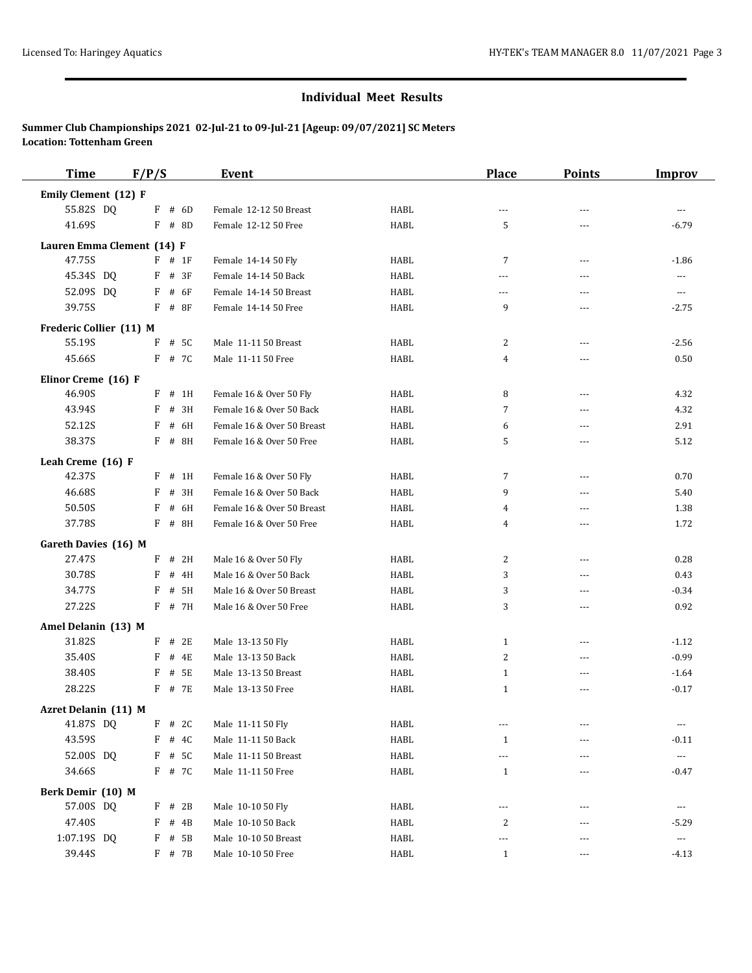| <b>Time</b>                 | F/P/S |          | Event                      |             | <b>Place</b>   | <b>Points</b>  | <b>Improv</b> |
|-----------------------------|-------|----------|----------------------------|-------------|----------------|----------------|---------------|
| Emily Clement (12) F        |       |          |                            |             |                |                |               |
| 55.82S DQ                   |       | $F$ # 6D | Female 12-12 50 Breast     | HABL        | ---            | ---            | $-$           |
| 41.69S                      |       | $F$ # 8D | Female 12-12 50 Free       | <b>HABL</b> | 5              | ---            | $-6.79$       |
| Lauren Emma Clement (14) F  |       |          |                            |             |                |                |               |
| 47.75S                      |       | $F$ # 1F | Female 14-14 50 Fly        | HABL        | 7              | ---            | $-1.86$       |
| 45.34S DQ                   | F     | # 3F     | Female 14-14 50 Back       | HABL        | $\overline{a}$ | $\overline{a}$ | $---$         |
| 52.09S DQ                   | F     | # 6F     | Female 14-14 50 Breast     | HABL        | ---            | ---            | ---           |
| 39.75S                      |       | $F$ # 8F | Female 14-14 50 Free       | HABL        | 9              | $- - -$        | $-2.75$       |
| Frederic Collier (11) M     |       |          |                            |             |                |                |               |
| 55.19S                      | F     | # 5C     | Male 11-11 50 Breast       | HABL        | 2              | ---            | $-2.56$       |
| 45.66S                      |       | F # 7C   | Male 11-11 50 Free         | HABL        | 4              | ---            | 0.50          |
| Elinor Creme (16) F         |       |          |                            |             |                |                |               |
| 46.90S                      | F     | # 1H     | Female 16 & Over 50 Fly    | HABL        | 8              | ---            | 4.32          |
| 43.94S                      | F     | # 3H     | Female 16 & Over 50 Back   | HABL        | 7              | ---            | 4.32          |
| 52.12S                      | F     | # 6H     | Female 16 & Over 50 Breast | HABL        | 6              | $---$          | 2.91          |
| 38.37S                      |       | F # 8H   | Female 16 & Over 50 Free   | HABL        | 5              | ---            | 5.12          |
| Leah Creme (16) F           |       |          |                            |             |                |                |               |
| 42.37S                      | F     | # 1H     | Female 16 & Over 50 Fly    | HABL        | 7              | ---            | 0.70          |
| 46.68S                      | F     | # 3H     | Female 16 & Over 50 Back   | HABL        | 9              | ---            | 5.40          |
| 50.50S                      | F     | # 6H     | Female 16 & Over 50 Breast | HABL        | 4              | ---            | 1.38          |
| 37.78S                      |       | $F$ # 8H | Female 16 & Over 50 Free   | HABL        | 4              | ---            | 1.72          |
| Gareth Davies (16) M        |       |          |                            |             |                |                |               |
| 27.47S                      |       | $F$ # 2H | Male 16 & Over 50 Fly      | HABL        | 2              | $\overline{a}$ | 0.28          |
| 30.78S                      | F     | # 4H     | Male 16 & Over 50 Back     | HABL        | 3              | $\overline{a}$ | 0.43          |
| 34.77S                      | F     | # 5H     | Male 16 & Over 50 Breast   | HABL        | 3              | ---            | $-0.34$       |
| 27.22S                      |       | F # 7H   | Male 16 & Over 50 Free     | HABL        | 3              | $- - -$        | 0.92          |
| Amel Delanin (13) M         |       |          |                            |             |                |                |               |
| 31.82S                      |       | $F$ # 2E | Male 13-13 50 Fly          | HABL        | $\mathbf{1}$   | $- - -$        | $-1.12$       |
| 35.40S                      | F     | # 4E     | Male 13-13 50 Back         | HABL        | 2              | ---            | $-0.99$       |
| 38.40S                      | F     | # 5E     | Male 13-13 50 Breast       | HABL        | 1              | $\overline{a}$ | $-1.64$       |
| 28.22S                      |       | F # 7E   | Male 13-13 50 Free         | HABL        | $\mathbf{1}$   | $\overline{a}$ | $-0.17$       |
| <b>Azret Delanin (11) M</b> |       |          |                            |             |                |                |               |
| 41.87S DQ                   |       | $F$ # 2C | Male 11-11 50 Fly          | HABL        | $- - -$        | ---            | ---           |
| 43.59S                      | F     | # 4C     | Male 11-11 50 Back         | HABL        | $\mathbf{1}$   |                | $-0.11$       |
| 52.00S DQ                   |       | $F$ # 5C | Male 11-11 50 Breast       | HABL        | ---            |                | $\cdots$      |
| 34.66S                      |       | F # 7C   | Male 11-11 50 Free         | HABL        | $\mathbf{1}$   | ---            | $-0.47$       |
| Berk Demir (10) M           |       |          |                            |             |                |                |               |
| 57.00S DQ                   |       | $F$ # 2B | Male 10-10 50 Fly          | HABL        | ---            | ---            | ---           |
| 47.40S                      | F     | # 4B     | Male 10-10 50 Back         | HABL        | 2              | $---$          | $-5.29$       |
| 1:07.19S DQ                 |       | $F$ # 5B | Male 10-10 50 Breast       | HABL        | ---            | $---$          | $\cdots$      |
| 39.44S                      |       | $F$ # 7B | Male 10-10 50 Free         | HABL        | $\mathbf{1}$   | ---            | $-4.13$       |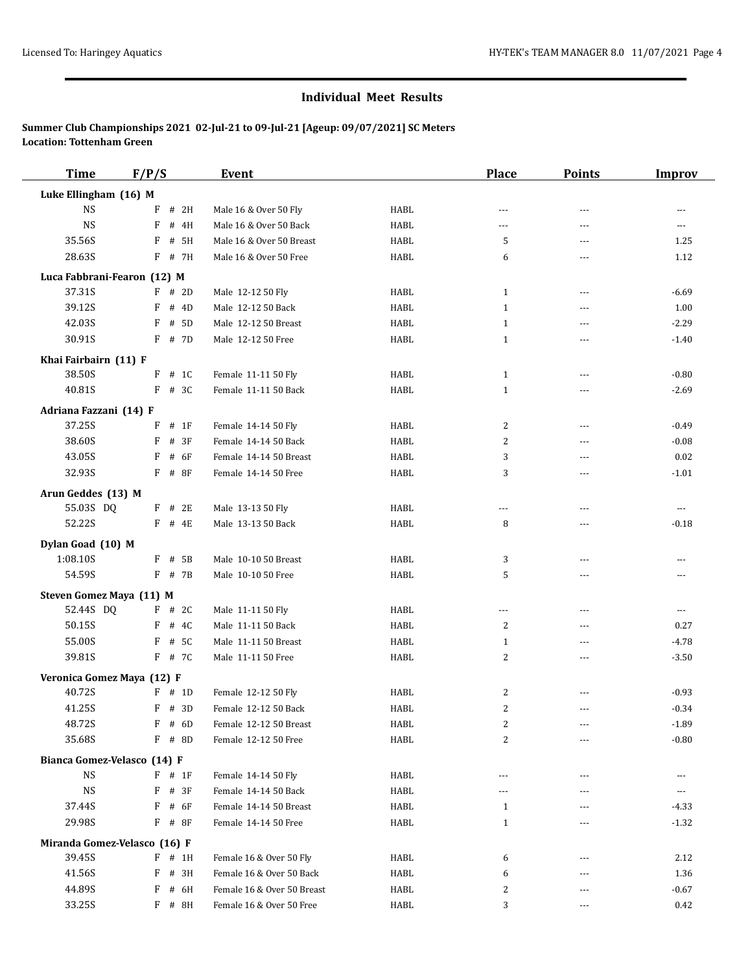| <b>Time</b>                  | F/P/S      | <b>Event</b>               |             | <b>Place</b>   | <b>Points</b> | <b>Improv</b> |
|------------------------------|------------|----------------------------|-------------|----------------|---------------|---------------|
| Luke Ellingham (16) M        |            |                            |             |                |               |               |
| <b>NS</b>                    | # 2H<br>F  | Male 16 & Over 50 Fly      | HABL        | ---            | ---           | $\cdots$      |
| <b>NS</b>                    | F<br># 4H  | Male 16 & Over 50 Back     | HABL        | $\cdots$       | ---           | ---           |
| 35.56S                       | F<br># 5H  | Male 16 & Over 50 Breast   | <b>HABL</b> | 5              | ---           | 1.25          |
| 28.63S                       | $F$ # 7H   | Male 16 & Over 50 Free     | HABL        | 6              | ---           | 1.12          |
| Luca Fabbrani-Fearon (12) M  |            |                            |             |                |               |               |
| 37.31S                       | $F$ # 2D   | Male 12-12 50 Fly          | HABL        | $\mathbf{1}$   | $---$         | $-6.69$       |
| 39.12S                       | F<br># 4D  | Male 12-12 50 Back         | HABL        | $\mathbf{1}$   | ---           | 1.00          |
| 42.03S                       | F<br># 5D  | Male 12-12 50 Breast       | HABL        | $\mathbf{1}$   | ---           | $-2.29$       |
| 30.91S                       | $F$ # 7D   | Male 12-12 50 Free         | HABL        | $\mathbf{1}$   | ---           | $-1.40$       |
| Khai Fairbairn (11) F        |            |                            |             |                |               |               |
| 38.50S                       | $F$ # 1C   | Female 11-11 50 Fly        | HABL        | $\mathbf{1}$   | ---           | $-0.80$       |
| 40.81S                       | $F$ # 3C   | Female 11-11 50 Back       | HABL        | $\mathbf{1}$   | $---$         | $-2.69$       |
| Adriana Fazzani (14) F       |            |                            |             |                |               |               |
| 37.25S                       | $F$ # 1F   | Female 14-14 50 Fly        | HABL        | 2              | $---$         | $-0.49$       |
| 38.60S                       | F<br># 3F  | Female 14-14 50 Back       | HABL        | 2              | ---           | $-0.08$       |
| 43.05S                       | F<br># 6F  | Female 14-14 50 Breast     | HABL        | 3              | ---           | 0.02          |
| 32.93S                       | $F$ # 8F   | Female 14-14 50 Free       | HABL        | 3              | ---           | $-1.01$       |
| Arun Geddes (13) M           |            |                            |             |                |               |               |
| 55.03S DQ                    | $F$ # 2E   | Male 13-13 50 Fly          | HABL        | ---            | ---           | ---           |
| 52.22S                       | $F$ # 4E   | Male 13-13 50 Back         | HABL        | 8              | ---           | $-0.18$       |
| Dylan Goad (10) M            |            |                            |             |                |               |               |
| 1:08.10S                     | # 5B<br>F  | Male 10-10 50 Breast       | HABL        | 3              | ---           | $\cdots$      |
| 54.59S                       | $F$ # 7B   | Male 10-10 50 Free         | HABL        | 5              | $---$         | $---$         |
| Steven Gomez Maya (11) M     |            |                            |             |                |               |               |
| 52.44S DQ                    | $F$ # 2C   | Male 11-11 50 Fly          | <b>HABL</b> | $---$          | $---$         | $\cdots$      |
| 50.15S                       | F<br># 4C  | Male 11-11 50 Back         | HABL        | 2              | ---           | 0.27          |
| 55.00S                       | F<br># 5C  | Male 11-11 50 Breast       | HABL        | $\mathbf{1}$   | ---           | $-4.78$       |
| 39.81S                       | F # 7C     | Male 11-11 50 Free         | HABL        | 2              | ---           | $-3.50$       |
| Veronica Gomez Maya (12) F   |            |                            |             |                |               |               |
| 40.72S                       | $F$ # 1D   | Female 12-12 50 Fly        | HABL        | $\overline{c}$ |               | $-0.93$       |
| 41.25S                       | $F$ # 3D   | Female 12-12 50 Back       | HABL        | $\overline{2}$ | ---           | $-0.34$       |
| 48.72S                       | # 6D<br>F  | Female 12-12 50 Breast     | HABL        | $\overline{c}$ |               | $-1.89$       |
| 35.68S                       | F<br># 8D  | Female 12-12 50 Free       | HABL        | 2              |               | $-0.80$       |
| Bianca Gomez-Velasco (14) F  |            |                            |             |                |               |               |
| <b>NS</b>                    | $F$ # 1F   | Female 14-14 50 Fly        | HABL        | ---            | ---           | $\cdots$      |
| <b>NS</b>                    | F<br># 3F  | Female 14-14 50 Back       | HABL        | ---            | ---           | ---           |
| 37.44S                       | # 6F<br>F  | Female 14-14 50 Breast     | HABL        | $\mathbf{1}$   | ---           | $-4.33$       |
| 29.98S                       | $F$ # 8F   | Female 14-14 50 Free       | HABL        | $\mathbf{1}$   | ---           | $-1.32$       |
| Miranda Gomez-Velasco (16) F |            |                            |             |                |               |               |
| 39.45S                       | F<br># 1H  | Female 16 & Over 50 Fly    | HABL        | 6              | ---           | 2.12          |
| 41.56S                       | F<br># 3H  | Female 16 & Over 50 Back   | HABL        | 6              | ---           | 1.36          |
| 44.89S                       | F # 6H     | Female 16 & Over 50 Breast | HABL        | 2              |               | $-0.67$       |
| 33.25S                       | $F$ # $8H$ | Female 16 & Over 50 Free   | HABL        | 3              | ---           | 0.42          |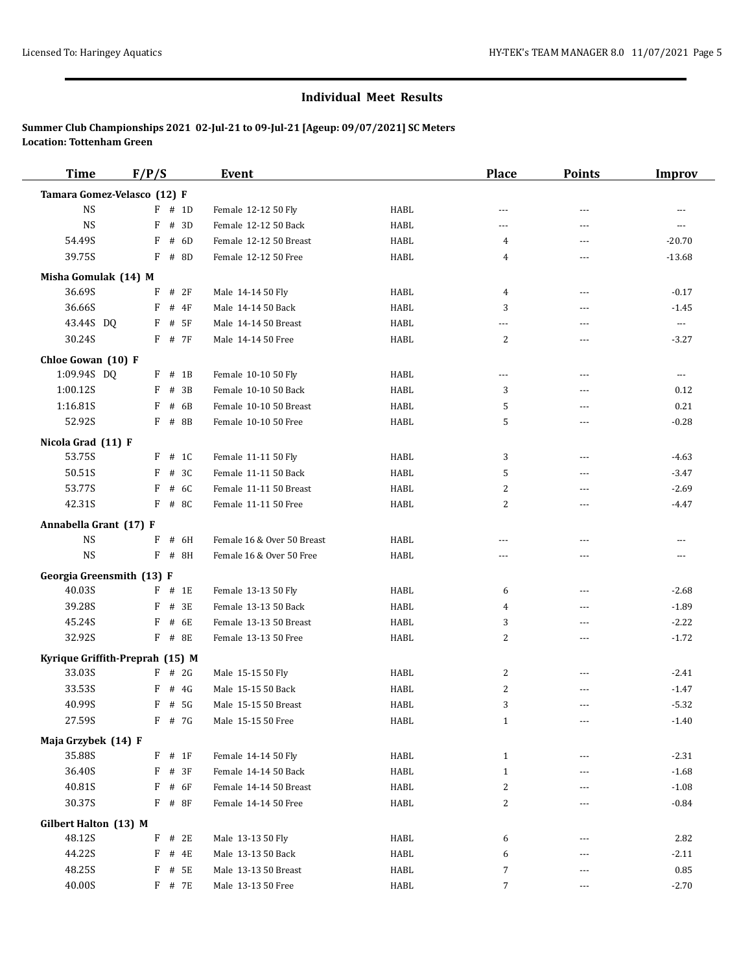| <b>Time</b>                     | F/P/S |             | Event                      |             | <b>Place</b>   | <b>Points</b>  | <b>Improv</b> |
|---------------------------------|-------|-------------|----------------------------|-------------|----------------|----------------|---------------|
| Tamara Gomez-Velasco (12) F     |       |             |                            |             |                |                |               |
| <b>NS</b>                       |       | $F$ # 1D    | Female 12-12 50 Fly        | HABL        | ---            | $\overline{a}$ |               |
| <b>NS</b>                       | F     | # 3D        | Female 12-12 50 Back       | <b>HABL</b> | $\overline{a}$ | $\overline{a}$ | $---$         |
| 54.49S                          | F     | # 6D        | Female 12-12 50 Breast     | <b>HABL</b> | 4              | $\overline{a}$ | $-20.70$      |
| 39.75S                          | F     | # 8D        | Female 12-12 50 Free       | HABL        | 4              | $\overline{a}$ | $-13.68$      |
| Misha Gomulak (14) M            |       |             |                            |             |                |                |               |
| 36.69S                          | F     | # 2F        | Male 14-14 50 Fly          | HABL        | 4              | ---            | $-0.17$       |
| 36.66S                          | F     | # 4F        | Male 14-14 50 Back         | <b>HABL</b> | 3              | $\overline{a}$ | $-1.45$       |
| 43.44S DQ                       | F     | # 5F        | Male 14-14 50 Breast       | HABL        | ---            | $\overline{a}$ | $\ldots$      |
| 30.24S                          |       | $F$ # 7 $F$ | Male 14-14 50 Free         | HABL        | 2              | $\overline{a}$ | $-3.27$       |
| Chloe Gowan (10) F              |       |             |                            |             |                |                |               |
| 1:09.94S DQ                     |       | $F$ # 1B    | Female 10-10 50 Fly        | HABL        | ---            | ---            | ---           |
| 1:00.12S                        | F     | # 3B        | Female 10-10 50 Back       | <b>HABL</b> | 3              | $\overline{a}$ | 0.12          |
| 1:16.81S                        | F     | # 6B        | Female 10-10 50 Breast     | HABL        | 5              | ---            | 0.21          |
| 52.92S                          | F     | # 8B        | Female 10-10 50 Free       | <b>HABL</b> | 5              | $- - -$        | $-0.28$       |
| Nicola Grad (11) F              |       |             |                            |             |                |                |               |
| 53.75S                          |       | $F$ # 1C    | Female 11-11 50 Fly        | HABL        | 3              | $\overline{a}$ | $-4.63$       |
| 50.51S                          | F     | # 3C        | Female 11-11 50 Back       | HABL        | 5              | $\overline{a}$ | $-3.47$       |
| 53.77S                          | F     | # 6C        | Female 11-11 50 Breast     | HABL        | 2              | $- - -$        | $-2.69$       |
| 42.31S                          | F     | # 8C        | Female 11-11 50 Free       | HABL        | $\overline{c}$ | $\overline{a}$ | $-4.47$       |
| Annabella Grant (17) F          |       |             |                            |             |                |                |               |
| $_{\rm NS}$                     | F     | # 6H        | Female 16 & Over 50 Breast | HABL        | $- - -$        | $\overline{a}$ | ---           |
| <b>NS</b>                       | F     | # 8H        | Female 16 & Over 50 Free   | HABL        | ---            | $\overline{a}$ | ---           |
| Georgia Greensmith (13) F       |       |             |                            |             |                |                |               |
| 40.03S                          |       | $F$ # 1E    | Female 13-13 50 Fly        | HABL        | 6              | ---            | $-2.68$       |
| 39.28S                          | F     | # 3E        | Female 13-13 50 Back       | HABL        | 4              | ---            | $-1.89$       |
| 45.24S                          | F     | # 6E        | Female 13-13 50 Breast     | HABL        | 3              | ---            | $-2.22$       |
| 32.92S                          |       | F # 8E      | Female 13-13 50 Free       | HABL        | 2              | ---            | $-1.72$       |
| Kyrique Griffith-Preprah (15) M |       |             |                            |             |                |                |               |
| 33.03S                          | F     | # 2G        | Male 15-15 50 Fly          | HABL        | 2              | $\overline{a}$ | $-2.41$       |
| 33.53S                          | F     | # 4G        | Male 15-15 50 Back         | HABL        | $\overline{c}$ | $\overline{a}$ | $-1.47$       |
| 40.99S                          | F     | # 5G        | Male 15-15 50 Breast       | HABL        | 3              | ---            | $-5.32$       |
| 27.59S                          |       | F # 7G      | Male 15-15 50 Free         | HABL        | $\mathbf{1}$   | ---            | $-1.40$       |
| Maja Grzybek (14) F             |       |             |                            |             |                |                |               |
| 35.88S                          |       | $F$ # 1F    | Female 14-14 50 Fly        | HABL        | $\mathbf{1}$   | ---            | $-2.31$       |
| 36.40S                          | F     | # 3F        | Female 14-14 50 Back       | HABL        | $\mathbf{1}$   | $- - -$        | $-1.68$       |
| 40.81S                          | F     | # 6F        | Female 14-14 50 Breast     | HABL        | $\overline{c}$ | ---            | $-1.08$       |
| 30.37S                          |       | $F$ # 8F    | Female 14-14 50 Free       | HABL        | $\overline{c}$ | $- - -$        | $-0.84$       |
| Gilbert Halton (13) M           |       |             |                            |             |                |                |               |
| 48.12S                          |       | $F$ # 2E    | Male 13-13 50 Fly          | HABL        | 6              | $---$          | 2.82          |
| 44.22S                          | F     | # 4E        | Male 13-13 50 Back         | HABL        | 6              | $---$          | $-2.11$       |
| 48.25S                          | F     | # 5E        | Male 13-13 50 Breast       | HABL        | 7              | $- - -$        | 0.85          |
| 40.00S                          |       | F # 7E      | Male 13-13 50 Free         | <b>HABL</b> | 7              | ---            | $-2.70$       |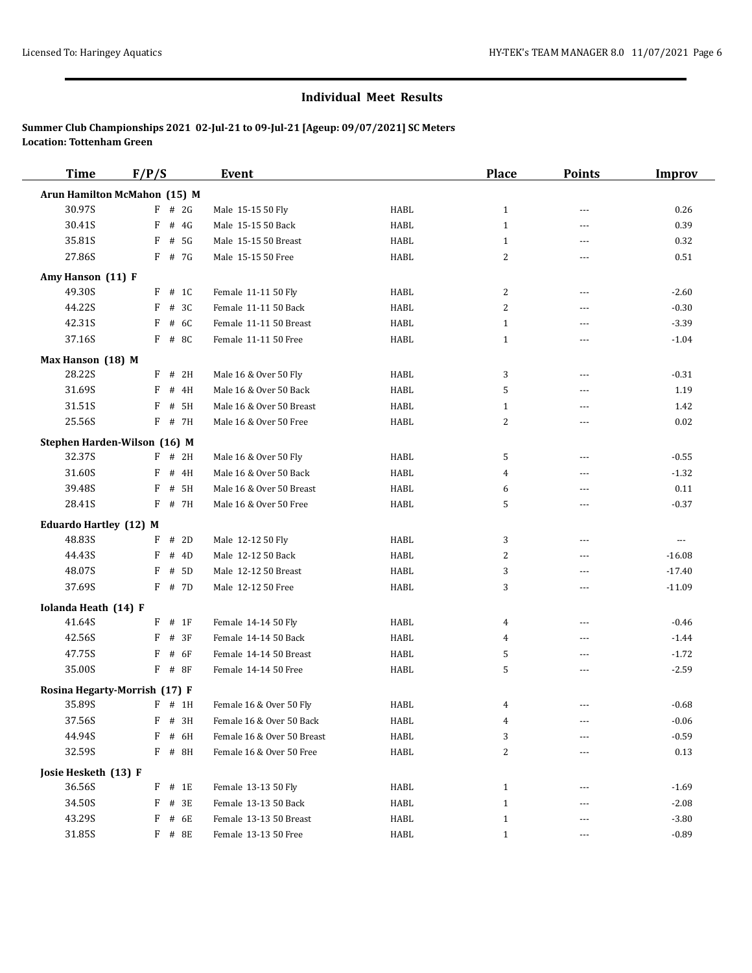| <b>Time</b>                   | F/P/S       | <b>Event</b>               |             | <b>Place</b>            | <b>Points</b>  | <b>Improv</b> |
|-------------------------------|-------------|----------------------------|-------------|-------------------------|----------------|---------------|
| Arun Hamilton McMahon (15) M  |             |                            |             |                         |                |               |
| 30.97S                        | F<br># 2G   | Male 15-15 50 Fly          | HABL        | $\mathbf{1}$            | $- - -$        | 0.26          |
| 30.41S                        | # $4G$<br>F | Male 15-15 50 Back         | <b>HABL</b> | $\mathbf{1}$            | $\overline{a}$ | 0.39          |
| 35.81S                        | F<br># 5G   | Male 15-15 50 Breast       | <b>HABL</b> | $\mathbf{1}$            | $- - -$        | 0.32          |
| 27.86S                        | F # 7G      | Male 15-15 50 Free         | <b>HABL</b> | 2                       | $- - -$        | 0.51          |
| Amy Hanson (11) F             |             |                            |             |                         |                |               |
| 49.30S                        | # 1C<br>F   | Female 11-11 50 Fly        | HABL        | 2                       | $\sim$ $\sim$  | $-2.60$       |
| 44.22S                        | F<br># 3C   | Female 11-11 50 Back       | HABL        | 2                       | ---            | $-0.30$       |
| 42.31S                        | F<br># 6C   | Female 11-11 50 Breast     | <b>HABL</b> | $\mathbf{1}$            | ---            | $-3.39$       |
| 37.16S                        | F<br># 8C   | Female 11-11 50 Free       | <b>HABL</b> | $\mathbf{1}$            | $\overline{a}$ | $-1.04$       |
| Max Hanson (18) M             |             |                            |             |                         |                |               |
| 28.22S                        | F<br># 2H   | Male 16 & Over 50 Fly      | <b>HABL</b> | 3                       | ---            | $-0.31$       |
| 31.69S                        | F<br># 4H   | Male 16 & Over 50 Back     | HABL        | 5                       | ---            | 1.19          |
| 31.51S                        | F<br># 5H   | Male 16 & Over 50 Breast   | HABL        | $\mathbf{1}$            | $\overline{a}$ | 1.42          |
| 25.56S                        | F<br># 7H   | Male 16 & Over 50 Free     | HABL        | 2                       | $\overline{a}$ | 0.02          |
| Stephen Harden-Wilson (16) M  |             |                            |             |                         |                |               |
| 32.37S                        | $F$ # 2H    | Male 16 & Over 50 Fly      | HABL        | 5                       | ---            | $-0.55$       |
| 31.60S                        | F<br># 4H   | Male 16 & Over 50 Back     | HABL        | 4                       | ---            | $-1.32$       |
| 39.48S                        | F<br># 5H   | Male 16 & Over 50 Breast   | <b>HABL</b> | 6                       | $\overline{a}$ | 0.11          |
| 28.41S                        | F<br># 7H   | Male 16 & Over 50 Free     | HABL        | 5                       | $---$          | $-0.37$       |
| <b>Eduardo Hartley (12) M</b> |             |                            |             |                         |                |               |
| 48.83S                        | F<br># 2D   | Male 12-12 50 Fly          | HABL        | 3                       | ---            | $\cdots$      |
| 44.43S                        | F<br># 4D   | Male 12-12 50 Back         | HABL        | 2                       | $\overline{a}$ | $-16.08$      |
| 48.07S                        | F<br># 5D   | Male 12-12 50 Breast       | <b>HABL</b> | 3                       | $---$          | $-17.40$      |
| 37.69S                        | F<br># 7D   | Male 12-12 50 Free         | HABL        | 3                       | $\overline{a}$ | $-11.09$      |
| Iolanda Heath (14) F          |             |                            |             |                         |                |               |
| 41.64S                        | $#$ 1F<br>F | Female 14-14 50 Fly        | HABL        | 4                       | ---            | $-0.46$       |
| 42.56S                        | F<br># 3F   | Female 14-14 50 Back       | <b>HABL</b> | 4                       | $\overline{a}$ | $-1.44$       |
| 47.75S                        | # 6F<br>F   | Female 14-14 50 Breast     | HABL        | 5                       | $- - -$        | $-1.72$       |
| 35.00S                        | $F$ # 8F    | Female 14-14 50 Free       | HABL        | 5                       | $- - -$        | $-2.59$       |
| Rosina Hegarty-Morrish (17) F |             |                            |             |                         |                |               |
| 35.89S                        | $F$ # 1H    | Female 16 & Over 50 Fly    | HABL        | 4                       | ---            | $-0.68$       |
| 37.56S                        | $F$ # 3H    | Female 16 & Over 50 Back   | HABL        | 4                       | ---            | $-0.06$       |
| 44.94S                        | F<br># 6H   | Female 16 & Over 50 Breast | HABL        | 3                       |                | $-0.59$       |
| 32.59S                        | F # 8H      | Female 16 & Over 50 Free   | HABL        | $\overline{\mathbf{c}}$ | $---$          | 0.13          |
| Josie Hesketh (13) F          |             |                            |             |                         |                |               |
| 36.56S                        | $F$ # 1E    | Female 13-13 50 Fly        | HABL        | $\mathbf{1}$            | ---            | $-1.69$       |
| 34.50S                        | F<br># 3E   | Female 13-13 50 Back       | HABL        | $\mathbf{1}$            | ---            | $-2.08$       |
| 43.29S                        | F<br># 6E   | Female 13-13 50 Breast     | HABL        | $\mathbf{1}$            | $---$          | $-3.80$       |
| 31.85S                        | F # 8E      | Female 13-13 50 Free       | HABL        | $\mathbf{1}$            | $\cdots$       | $-0.89$       |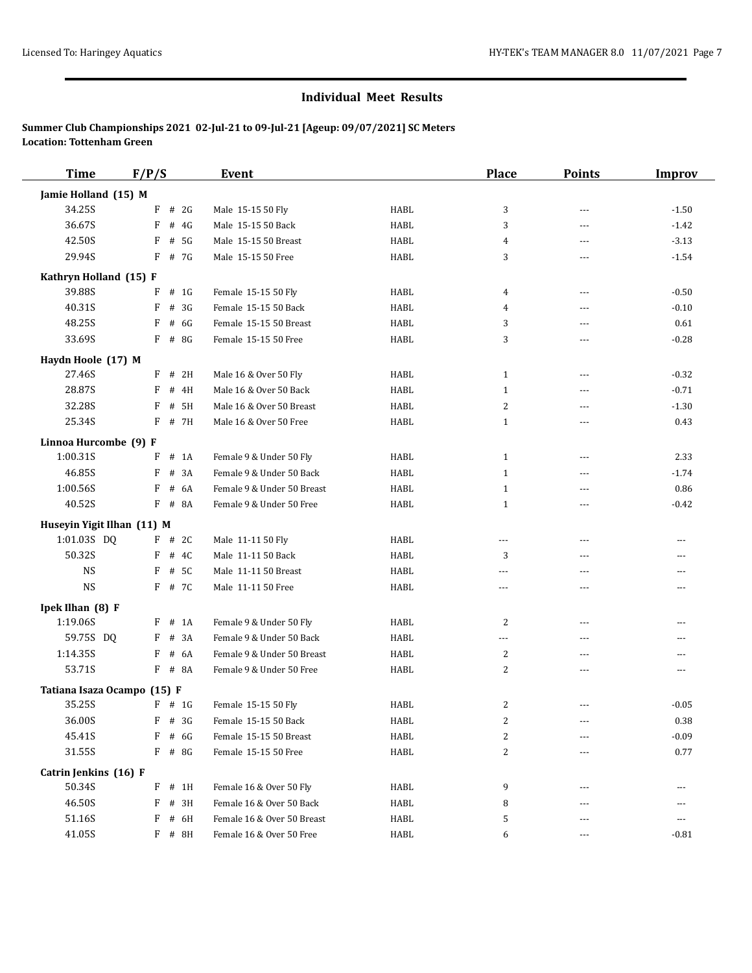| <b>Time</b>                 | F/P/S       | <b>Event</b>               |             | <b>Place</b>   | <b>Points</b> | <b>Improv</b> |
|-----------------------------|-------------|----------------------------|-------------|----------------|---------------|---------------|
| Jamie Holland (15) M        |             |                            |             |                |               |               |
| 34.25S                      | F<br># 2G   | Male 15-15 50 Fly          | HABL        | 3              | $---$         | $-1.50$       |
| 36.67S                      | F<br># $4G$ | Male 15-15 50 Back         | HABL        | 3              | $---$         | $-1.42$       |
| 42.50S                      | F<br># 5G   | Male 15-15 50 Breast       | HABL        | 4              | ---           | $-3.13$       |
| 29.94S                      | $F$ # 7G    | Male 15-15 50 Free         | HABL        | 3              | ---           | $-1.54$       |
| Kathryn Holland (15) F      |             |                            |             |                |               |               |
| 39.88S                      | F<br># 1G   | Female 15-15 50 Fly        | HABL        | 4              | $\cdots$      | $-0.50$       |
| 40.31S                      | F<br># 3G   | Female 15-15 50 Back       | HABL        | 4              | ---           | $-0.10$       |
| 48.25S                      | F<br># 6G   | Female 15-15 50 Breast     | HABL        | 3              | ---           | 0.61          |
| 33.69S                      | F<br># 8G   | Female 15-15 50 Free       | HABL        | 3              | ---           | $-0.28$       |
| Haydn Hoole (17) M          |             |                            |             |                |               |               |
| 27.46S                      | $F$ # 2H    | Male 16 & Over 50 Fly      | HABL        | 1              | $- - -$       | $-0.32$       |
| 28.87S                      | F<br># 4H   | Male 16 & Over 50 Back     | HABL        | $\mathbf{1}$   | ---           | $-0.71$       |
| 32.28S                      | F<br># 5H   | Male 16 & Over 50 Breast   | HABL        | $\overline{c}$ | ---           | $-1.30$       |
| 25.34S                      | F<br># 7H   | Male 16 & Over 50 Free     | HABL        | $\mathbf{1}$   | ---           | 0.43          |
| Linnoa Hurcombe (9) F       |             |                            |             |                |               |               |
| 1:00.31S                    | F<br>$#$ 1A | Female 9 & Under 50 Fly    | HABL        | $\mathbf{1}$   | ---           | 2.33          |
| 46.85S                      | F<br># 3A   | Female 9 & Under 50 Back   | HABL        | $\mathbf{1}$   | ---           | $-1.74$       |
| 1:00.56S                    | F<br># 6A   | Female 9 & Under 50 Breast | HABL        | $\mathbf{1}$   | ---           | 0.86          |
| 40.52S                      | F<br># 8A   | Female 9 & Under 50 Free   | HABL        | $\mathbf{1}$   | ---           | $-0.42$       |
| Huseyin Yigit Ilhan (11) M  |             |                            |             |                |               |               |
| 1:01.03S DQ                 | $F$ # 2C    | Male 11-11 50 Fly          | HABL        | ---            | ---           | $\cdots$      |
| 50.32S                      | F<br># 4C   | Male 11-11 50 Back         | HABL        | 3              | ---           | ---           |
| <b>NS</b>                   | F<br># 5C   | Male 11-11 50 Breast       | <b>HABL</b> | $\overline{a}$ | ---           | ---           |
| <b>NS</b>                   | F # 7C      | Male 11-11 50 Free         | HABL        | $\cdots$       | ---           | ---           |
| Ipek Ilhan (8) F            |             |                            |             |                |               |               |
| 1:19.06S                    | F<br>$#$ 1A | Female 9 & Under 50 Fly    | HABL        | 2              | ---           | ---           |
| 59.75S DQ                   | # 3A<br>F   | Female 9 & Under 50 Back   | HABL        | ---            | $- - -$       | $\cdots$      |
| 1:14.35S                    | # 6A<br>F   | Female 9 & Under 50 Breast | HABL        | $\overline{c}$ | ---           | ---           |
| 53.71S                      | F # 8A      | Female 9 & Under 50 Free   | HABL        | 2              | ---           | $\cdots$      |
| Tatiana Isaza Ocampo (15) F |             |                            |             |                |               |               |
| 35.25S                      | $F$ # 1G    | Female 15-15 50 Fly        | HABL        | 2              | ---           | $-0.05$       |
| 36.00S                      | $F$ # 3G    | Female 15-15 50 Back       | HABL        | 2              | ---           | 0.38          |
| 45.41S                      | F<br># 6G   | Female 15-15 50 Breast     | HABL        | 2              |               | $-0.09$       |
| 31.55S                      | $F$ # 8G    | Female 15-15 50 Free       | HABL        | $\overline{c}$ | ---           | 0.77          |
| Catrin Jenkins (16) F       |             |                            |             |                |               |               |
| 50.34S                      | $F$ # 1H    | Female 16 & Over 50 Fly    | HABL        | 9              |               | $\cdots$      |
| 46.50S                      | F<br># 3H   | Female 16 & Over 50 Back   | HABL        | 8              |               | ---           |
| 51.16S                      | F<br># 6H   | Female 16 & Over 50 Breast | HABL        | 5              |               | ---           |
| 41.05S                      | F # 8H      | Female 16 & Over 50 Free   | HABL        | 6              | $\cdots$      | $-0.81$       |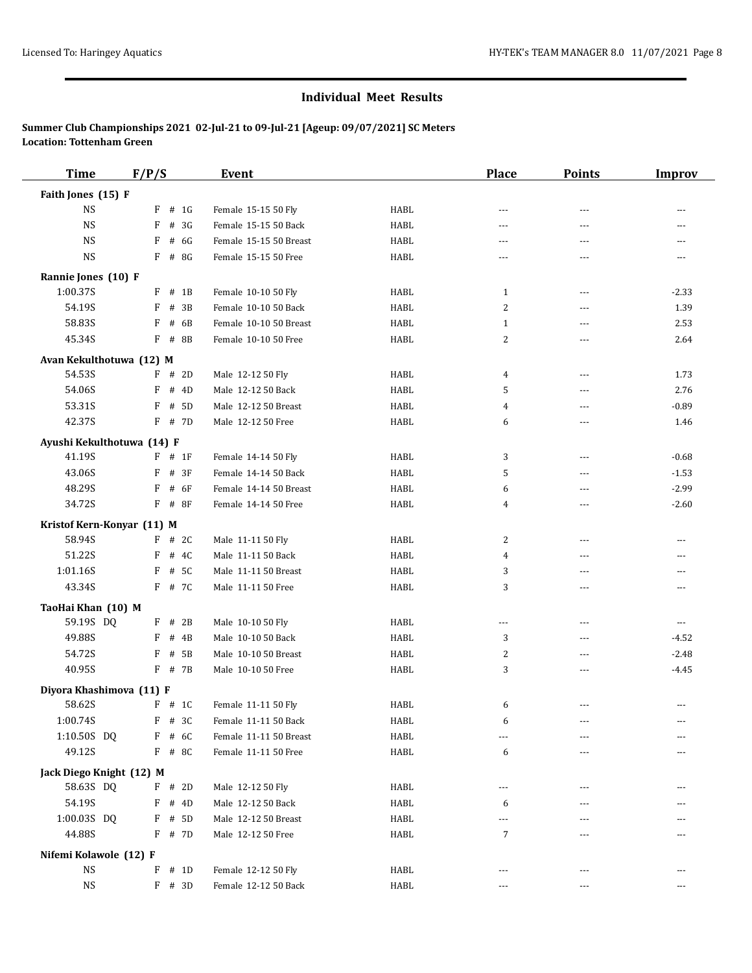| <b>Time</b>                | F/P/S  |          |                  | <b>Event</b>                                   |                     | <b>Place</b>   | <b>Points</b>  | <b>Improv</b> |
|----------------------------|--------|----------|------------------|------------------------------------------------|---------------------|----------------|----------------|---------------|
| Faith Jones (15) F         |        |          |                  |                                                |                     |                |                |               |
| <b>NS</b>                  | F      |          | # 1G             | Female 15-15 50 Fly                            | <b>HABL</b>         | $\overline{a}$ | $-$            |               |
| <b>NS</b>                  | F      |          | # 3G             | Female 15-15 50 Back                           | <b>HABL</b>         | ---            | $- - -$        |               |
| <b>NS</b>                  | F      |          | # 6G             | Female 15-15 50 Breast                         | <b>HABL</b>         | $---$          | ---            | ---           |
| <b>NS</b>                  |        |          | $F$ # 8G         | Female 15-15 50 Free                           | <b>HABL</b>         | ---            | ---            | ---           |
| Rannie Jones (10) F        |        |          |                  |                                                |                     |                |                |               |
| 1:00.37S                   | F      |          | $#$ 1B           | Female 10-10 50 Fly                            | <b>HABL</b>         | 1              | $---$          | $-2.33$       |
| 54.19S                     | F      |          | # 3B             | Female 10-10 50 Back                           | HABL                | $\overline{2}$ | $- - -$        | 1.39          |
| 58.83S                     | F      |          | # 6B             | Female 10-10 50 Breast                         | <b>HABL</b>         | 1              | $\overline{a}$ | 2.53          |
| 45.34S                     | F      |          | # 8B             | Female 10-10 50 Free                           | HABL                | 2              | ---            | 2.64          |
| Avan Kekulthotuwa (12) M   |        |          |                  |                                                |                     |                |                |               |
| 54.53S                     |        |          | $F$ # 2D         | Male 12-12 50 Fly                              | HABL                | 4              | ---            | 1.73          |
| 54.06S                     | F      |          | # 4D             | Male 12-12 50 Back                             | <b>HABL</b>         | 5              | $\overline{a}$ | 2.76          |
| 53.31S                     | F      |          | # 5D             | Male 12-12 50 Breast                           | <b>HABL</b>         | 4              | ---            | $-0.89$       |
| 42.37S                     | F      |          | # 7D             | Male 12-12 50 Free                             | HABL                | 6              | $- - -$        | 1.46          |
| Ayushi Kekulthotuwa (14) F |        |          |                  |                                                |                     |                |                |               |
| 41.19S                     |        | $F$ # 1F |                  | Female 14-14 50 Fly                            | <b>HABL</b>         | 3              | $\sim$ $\sim$  | $-0.68$       |
| 43.06S                     | F      |          | # 3F             | Female 14-14 50 Back                           | <b>HABL</b>         | 5              | $\overline{a}$ | $-1.53$       |
| 48.29S                     | F      |          | # 6F             | Female 14-14 50 Breast                         | HABL                | 6              | ---            | $-2.99$       |
| 34.72S                     | F      | $#$ 8F   |                  | Female 14-14 50 Free                           | <b>HABL</b>         | 4              | ---            | $-2.60$       |
| Kristof Kern-Konyar (11) M |        |          |                  |                                                |                     |                |                |               |
| 58.94S                     | F      |          | # 2C             | Male 11-11 50 Fly                              | HABL                | $\overline{c}$ | $\sim$ $\sim$  | $---$         |
| 51.22S                     | F      |          | # 4C             | Male 11-11 50 Back                             | HABL                | 4              | $\overline{a}$ |               |
| 1:01.16S                   | F      |          | # 5C             | Male 11-11 50 Breast                           | HABL                | 3              | $- - -$        | $---$         |
| 43.34S                     |        |          | F # 7C           | Male 11-11 50 Free                             | HABL                | 3              | ---            |               |
| TaoHai Khan (10) M         |        |          |                  |                                                |                     |                |                |               |
| 59.19S DQ                  | F      |          | # 2B             | Male 10-10 50 Fly                              | <b>HABL</b>         | ---            | $-$            | $---$         |
| 49.88S                     | F      |          | # 4B             | Male 10-10 50 Back                             | HABL                | 3              | ---            | $-4.52$       |
| 54.72S                     | F      |          | # 5B             | Male 10-10 50 Breast                           | <b>HABL</b>         | 2              | ---            | $-2.48$       |
| 40.95S                     |        |          | $F$ # 7B         | Male 10-10 50 Free                             | HABL                | 3              | ---            | $-4.45$       |
|                            |        |          |                  |                                                |                     |                |                |               |
| Diyora Khashimova (11) F   |        |          |                  |                                                |                     |                |                |               |
| 58.62S<br>1:00.74S         |        |          | $F$ # 1C         | Female 11-11 50 Fly<br>Female 11-11 50 Back    | <b>HABL</b><br>HABL | 6              | ---            | $\cdots$      |
|                            | F<br>F |          | # 3C             |                                                |                     | 6              | ---            |               |
| 1:10.50S DQ<br>49.12S      |        |          | # 6C<br>$F$ # 8C | Female 11-11 50 Breast<br>Female 11-11 50 Free | HABL<br>HABL        | ---<br>6       |                |               |
|                            |        |          |                  |                                                |                     |                | ---            |               |
| Jack Diego Knight (12) M   |        |          |                  |                                                |                     |                |                |               |
| 58.63S DQ                  |        |          | $F$ # 2D         | Male 12-12 50 Fly                              | HABL                | ---            |                |               |
| 54.19S                     | F      |          | # 4D             | Male 12-12 50 Back                             | HABL                | 6              | ---            |               |
| 1:00.03S DQ                | F      |          | # 5D             | Male 12-12 50 Breast                           | <b>HABL</b>         | ---            |                |               |
| 44.88S                     |        |          | F # 7D           | Male 12-12 50 Free                             | HABL                | 7              | $---$          |               |
| Nifemi Kolawole (12) F     |        |          |                  |                                                |                     |                |                |               |
| NS                         | F      |          | # 1D             | Female 12-12 50 Fly                            | HABL                | ---            | $---$          |               |
| NS                         |        |          | $F$ # 3D         | Female 12-12 50 Back                           | HABL                | ---            | $---$          | ---           |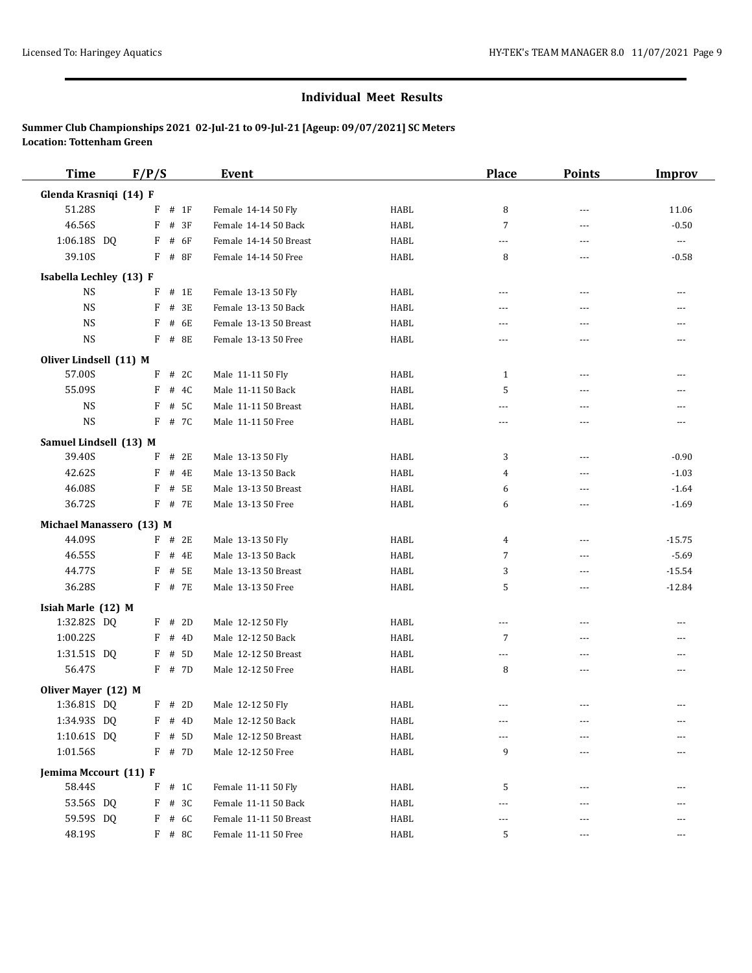| <b>Time</b>              | F/P/S |          | Event                  |             | <b>Place</b>   | <b>Points</b>  | <b>Improv</b>            |
|--------------------------|-------|----------|------------------------|-------------|----------------|----------------|--------------------------|
| Glenda Krasniqi (14) F   |       |          |                        |             |                |                |                          |
| 51.28S                   | F     | # 1F     | Female 14-14 50 Fly    | <b>HABL</b> | 8              | $\overline{a}$ | 11.06                    |
| 46.56S                   | F     | # 3F     | Female 14-14 50 Back   | <b>HABL</b> | $\overline{7}$ | $\overline{a}$ | $-0.50$                  |
| 1:06.18S DQ              | F     | # 6F     | Female 14-14 50 Breast | <b>HABL</b> | ---            | $- - -$        | $\overline{\phantom{a}}$ |
| 39.10S                   | F     | # 8F     | Female 14-14 50 Free   | <b>HABL</b> | 8              | $\overline{a}$ | $-0.58$                  |
| Isabella Lechley (13) F  |       |          |                        |             |                |                |                          |
| <b>NS</b>                | F     | # 1E     | Female 13-13 50 Fly    | HABL        | ---            | ---            | ---                      |
| <b>NS</b>                | F     | # 3E     | Female 13-13 50 Back   | <b>HABL</b> | $- - -$        | $\overline{a}$ | ---                      |
| <b>NS</b>                | F     | # 6E     | Female 13-13 50 Breast | <b>HABL</b> | ---            | $\overline{a}$ | ---                      |
| <b>NS</b>                |       | $F$ # 8E | Female 13-13 50 Free   | <b>HABL</b> | $- - -$        | $\overline{a}$ | ---                      |
| Oliver Lindsell (11) M   |       |          |                        |             |                |                |                          |
| 57.00S                   |       | $F$ # 2C | Male 11-11 50 Fly      | HABL        | 1              | ---            | ---                      |
| 55.09S                   | F     | # 4C     | Male 11-11 50 Back     | <b>HABL</b> | 5              | $\overline{a}$ | ---                      |
| <b>NS</b>                | F     | # 5C     | Male 11-11 50 Breast   | HABL        | ---            | ---            | ---                      |
| $_{\rm NS}$              | F     | # 7C     | Male 11-11 50 Free     | <b>HABL</b> | ---            | ---            | $---$                    |
| Samuel Lindsell (13) M   |       |          |                        |             |                |                |                          |
| 39.40S                   | F     | # 2E     | Male 13-13 50 Fly      | HABL        | 3              | $\overline{a}$ | $-0.90$                  |
| 42.62S                   | F     | # 4E     | Male 13-13 50 Back     | HABL        | 4              | $\overline{a}$ | $-1.03$                  |
| 46.08S                   | F     | # 5E     | Male 13-13 50 Breast   | HABL        | 6              | $- - -$        | $-1.64$                  |
| 36.72S                   |       | F # 7E   | Male 13-13 50 Free     | HABL        | 6              | $\overline{a}$ | $-1.69$                  |
| Michael Manassero (13) M |       |          |                        |             |                |                |                          |
| 44.09S                   |       | $F$ # 2E | Male 13-13 50 Fly      | HABL        | 4              | $\overline{a}$ | $-15.75$                 |
| 46.55S                   | F     | # 4E     | Male 13-13 50 Back     | HABL        | $\overline{7}$ | $\overline{a}$ | $-5.69$                  |
| 44.77S                   | F     | # 5E     | Male 13-13 50 Breast   | <b>HABL</b> | 3              | $\overline{a}$ | $-15.54$                 |
| 36.28S                   |       | F # 7E   | Male 13-13 50 Free     | <b>HABL</b> | 5              | ---            | $-12.84$                 |
| Isiah Marle (12) M       |       |          |                        |             |                |                |                          |
| 1:32.82S DQ              | F     | # 2D     | Male 12-12 50 Fly      | <b>HABL</b> | ---            | ---            | ---                      |
| 1:00.22S                 | F     | # 4D     | Male 12-12 50 Back     | <b>HABL</b> | 7              | ---            | ---                      |
| 1:31.51S DQ              |       | $F$ # 5D | Male 12-12 50 Breast   | <b>HABL</b> | ---            | $\overline{a}$ | ---                      |
| 56.47S                   |       | F # 7D   | Male 12-12 50 Free     | HABL        | 8              | ---            | ---                      |
| Oliver Mayer (12) M      |       |          |                        |             |                |                |                          |
| 1:36.81S DQ              |       | $F$ # 2D | Male 12-12 50 Fly      | HABL        | ---            | ---            | ---                      |
| 1:34.93S DQ              | F     | # 4D     | Male 12-12 50 Back     | HABL        | ---            | ---            |                          |
| 1:10.61S DQ              | F     | # 5D     | Male 12-12 50 Breast   | HABL        | ---            |                |                          |
| 1:01.56S                 |       | $F$ # 7D | Male 12-12 50 Free     | HABL        | 9              | ---            |                          |
| Jemima Mccourt (11) F    |       |          |                        |             |                |                |                          |
| 58.44S                   |       | $F$ # 1C | Female 11-11 50 Fly    | HABL        | 5              | $---$          |                          |
| 53.56S DQ                | F     | # 3C     | Female 11-11 50 Back   | HABL        | $- - -$        | $---$          |                          |
| 59.59S DQ                | F     | # 6C     | Female 11-11 50 Breast | HABL        | ---            | ---            |                          |
| 48.19S                   |       | F # 8C   | Female 11-11 50 Free   | HABL        | 5              | ---            | ---                      |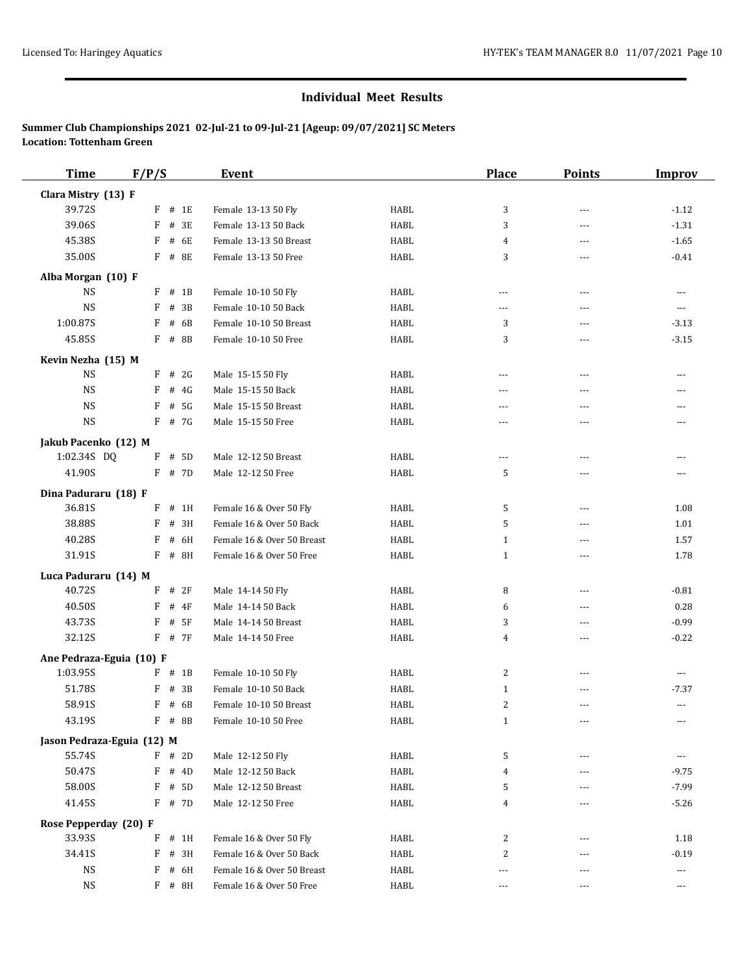| <b>Time</b>                | F/P/S |          | Event                      |             | <b>Place</b>   | <b>Points</b>  | <b>Improv</b> |
|----------------------------|-------|----------|----------------------------|-------------|----------------|----------------|---------------|
| Clara Mistry (13) F        |       |          |                            |             |                |                |               |
| 39.72S                     | F     | # 1E     | Female 13-13 50 Fly        | <b>HABL</b> | 3              | $\overline{a}$ | $-1.12$       |
| 39.06S                     | F     | # 3E     | Female 13-13 50 Back       | HABL        | 3              | $- - -$        | $-1.31$       |
| 45.38S                     | F     | # 6E     | Female 13-13 50 Breast     | HABL        | 4              | ---            | $-1.65$       |
| 35.00S                     | F     | # 8E     | Female 13-13 50 Free       | HABL        | 3              | ---            | $-0.41$       |
| Alba Morgan (10) F         |       |          |                            |             |                |                |               |
| <b>NS</b>                  | F     | $#$ 1B   | Female 10-10 50 Fly        | HABL        | ---            | $\overline{a}$ | $- - -$       |
| <b>NS</b>                  | F     | # 3B     | Female 10-10 50 Back       | HABL        | $\overline{a}$ | $---$          | $---$         |
| 1:00.87S                   | F     | # 6B     | Female 10-10 50 Breast     | HABL        | 3              | ---            | $-3.13$       |
| 45.85S                     | F     | # 8B     | Female 10-10 50 Free       | HABL        | 3              | ---            | $-3.15$       |
| Kevin Nezha (15) M         |       |          |                            |             |                |                |               |
| <b>NS</b>                  |       | $F$ # 2G | Male 15-15 50 Fly          | HABL        | ---            | ---            | $---$         |
| $_{\rm NS}$                | F     | # 4G     | Male 15-15 50 Back         | HABL        | $---$          | $\overline{a}$ | ---           |
| <b>NS</b>                  | F     | # 5G     | Male 15-15 50 Breast       | HABL        | $---$          | ---            |               |
| $_{\rm NS}$                | F     | # 7G     | Male 15-15 50 Free         | HABL        | $---$          | ---            | ---           |
|                            |       |          |                            |             |                |                |               |
| Jakub Pacenko (12) M       |       |          |                            |             |                |                |               |
| 1:02.34S DQ                |       | F # 5D   | Male 12-12 50 Breast       | HABL        | $\overline{a}$ | $- - -$        | ---           |
| 41.90S                     |       | $F$ # 7D | Male 12-12 50 Free         | HABL        | 5              | ---            | ---           |
| Dina Paduraru (18) F       |       |          |                            |             |                |                |               |
| 36.81S                     | F     | # 1H     | Female 16 & Over 50 Fly    | HABL        | 5              | ---            | 1.08          |
| 38.88S                     | F     | # 3H     | Female 16 & Over 50 Back   | HABL        | 5              | ---            | 1.01          |
| 40.28S                     | F     | # 6H     | Female 16 & Over 50 Breast | HABL        | $\mathbf{1}$   | ---            | 1.57          |
| 31.91S                     | F     | # 8H     | Female 16 & Over 50 Free   | HABL        | $\mathbf{1}$   | ---            | 1.78          |
| Luca Paduraru (14) M       |       |          |                            |             |                |                |               |
| 40.72S                     | F     | # 2F     | Male 14-14 50 Fly          | HABL        | 8              | ---            | $-0.81$       |
| 40.50S                     | F     | $#$ 4F   | Male 14-14 50 Back         | HABL        | 6              | $---$          | 0.28          |
| 43.73S                     | F     | # 5F     | Male 14-14 50 Breast       | HABL        | 3              | $\overline{a}$ | $-0.99$       |
| 32.12S                     |       | $F$ # 7F | Male 14-14 50 Free         | HABL        | 4              | ---            | $-0.22$       |
| Ane Pedraza-Eguia (10) F   |       |          |                            |             |                |                |               |
| 1:03.95S                   | F     | $#$ 1B   | Female 10-10 50 Fly        | HABL        | 2              | $\overline{a}$ | $\cdots$      |
| 51.78S                     | F     | # 3B     | Female 10-10 50 Back       | HABL        | $\mathbf{1}$   | $- - -$        | $-7.37$       |
| 58.91S                     | F     | # 6B     | Female 10-10 50 Breast     | HABL        | 2              | ---            | ---           |
| 43.19S                     |       | F # 8B   | Female 10-10 50 Free       | HABL        | 1              | ---            | ---           |
| Jason Pedraza-Eguia (12) M |       |          |                            |             |                |                |               |
| 55.74S                     | F     | # 2D     | Male 12-12 50 Fly          | HABL        | 5              | ---            | $\cdots$      |
| 50.47S                     | F     | # 4D     | Male 12-12 50 Back         | HABL        | 4              | ---            | $-9.75$       |
| 58.00S                     | F     | # 5D     | Male 12-12 50 Breast       | HABL        | 5              |                | $-7.99$       |
| 41.45S                     | F     | # 7D     | Male 12-12 50 Free         | HABL        | 4              | $- - -$        | $-5.26$       |
| Rose Pepperday (20) F      |       |          |                            |             |                |                |               |
| 33.93S                     |       | $F$ # 1H | Female 16 & Over 50 Fly    | HABL        | 2              | $---$          | 1.18          |
| 34.41S                     | F     | # 3H     | Female 16 & Over 50 Back   | HABL        | 2              | ---            | $-0.19$       |
| NS                         | F     | # 6H     | Female 16 & Over 50 Breast | HABL        | ---            | $- - -$        | ---           |
| <b>NS</b>                  |       | F # 8H   | Female 16 & Over 50 Free   | HABL        | ---            | ---            | $\cdots$      |
|                            |       |          |                            |             |                |                |               |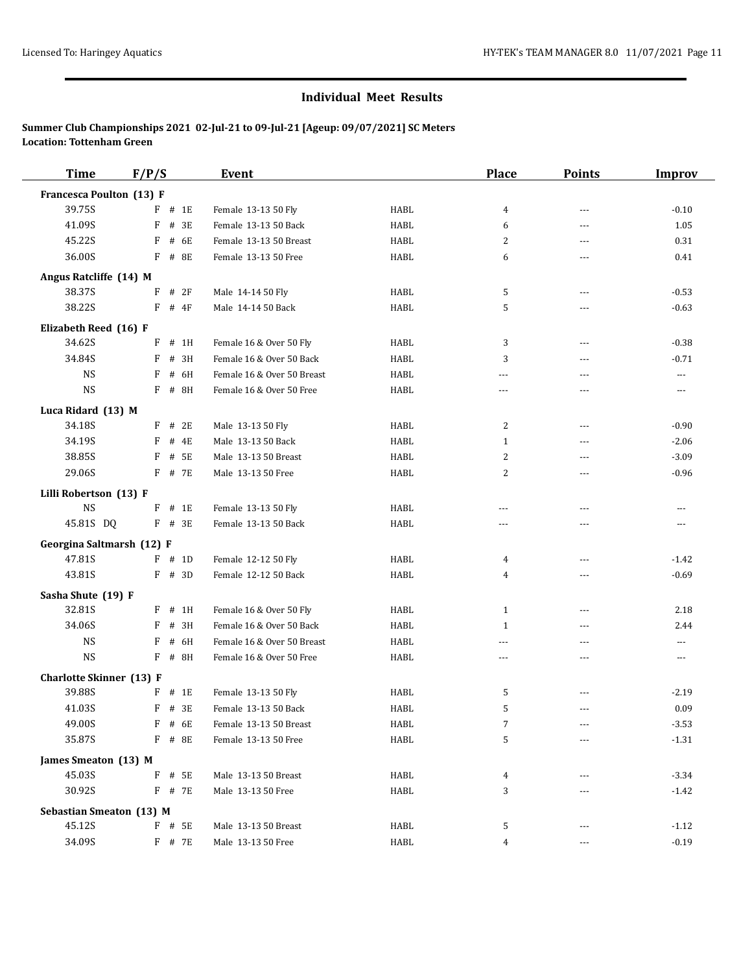| <b>Time</b>                     | F/P/S |          | Event                      |      | <b>Place</b>   | <b>Points</b> | <b>Improv</b>  |
|---------------------------------|-------|----------|----------------------------|------|----------------|---------------|----------------|
| Francesca Poulton (13) F        |       |          |                            |      |                |               |                |
| 39.75S                          | F     | # 1E     | Female 13-13 50 Fly        | HABL | $\overline{4}$ | $---$         | $-0.10$        |
| 41.09S                          | F     | # 3E     | Female 13-13 50 Back       | HABL | 6              | $---$         | 1.05           |
| 45.22S                          | F     | # 6E     | Female 13-13 50 Breast     | HABL | 2              | ---           | 0.31           |
| 36.00S                          |       | F # 8E   | Female 13-13 50 Free       | HABL | 6              | ---           | 0.41           |
| Angus Ratcliffe (14) M          |       |          |                            |      |                |               |                |
| 38.37S                          | F     | # 2F     | Male 14-14 50 Fly          | HABL | 5              | $---$         | $-0.53$        |
| 38.22S                          | F     | # 4F     | Male 14-14 50 Back         | HABL | 5              | ---           | $-0.63$        |
| Elizabeth Reed (16) F           |       |          |                            |      |                |               |                |
| 34.62S                          | F     | # 1H     | Female 16 & Over 50 Fly    | HABL | 3              | $---$         | $-0.38$        |
| 34.84S                          | F     | # 3H     | Female 16 & Over 50 Back   | HABL | 3              | ---           | $-0.71$        |
| <b>NS</b>                       | F     | # 6H     | Female 16 & Over 50 Breast | HABL | $---$          | $---$         | $\cdots$       |
| <b>NS</b>                       |       | F # 8H   | Female 16 & Over 50 Free   | HABL | $\cdots$       | ---           | $\cdots$       |
| Luca Ridard (13) M              |       |          |                            |      |                |               |                |
| 34.18S                          | F     | # 2E     | Male 13-13 50 Fly          | HABL | $\overline{c}$ | ---           | $-0.90$        |
| 34.19S                          | F     | # 4E     | Male 13-13 50 Back         | HABL | $\mathbf{1}$   | ---           | $-2.06$        |
| 38.85S                          | F     | # 5E     | Male 13-13 50 Breast       | HABL | $\overline{c}$ | ---           | $-3.09$        |
| 29.06S                          |       | F # 7E   | Male 13-13 50 Free         | HABL | $\overline{c}$ | ---           | $-0.96$        |
| Lilli Robertson (13) F          |       |          |                            |      |                |               |                |
| <b>NS</b>                       |       | $F$ # 1E | Female 13-13 50 Fly        | HABL | ---            | ---           | ---            |
| 45.81S DQ                       |       | $F$ # 3E | Female 13-13 50 Back       | HABL | $\frac{1}{2}$  | $---$         | $---$          |
| Georgina Saltmarsh (12) F       |       |          |                            |      |                |               |                |
| 47.81S                          |       | $F$ # 1D | Female 12-12 50 Fly        | HABL | 4              | ---           | $-1.42$        |
| 43.81S                          |       | $F$ # 3D | Female 12-12 50 Back       | HABL | $\overline{4}$ | ---           | $-0.69$        |
| Sasha Shute (19) F              |       |          |                            |      |                |               |                |
| 32.81S                          | F     | # 1H     | Female 16 & Over 50 Fly    | HABL | $\mathbf{1}$   | ---           | 2.18           |
| 34.06S                          | F     | # 3H     | Female 16 & Over 50 Back   | HABL | $\mathbf{1}$   | ---           | 2.44           |
| <b>NS</b>                       | F     | # 6H     | Female 16 & Over 50 Breast | HABL | $\overline{a}$ | $---$         | $\overline{a}$ |
| <b>NS</b>                       | F     | # 8H     | Female 16 & Over 50 Free   | HABL | ---            | ---           | ---            |
| <b>Charlotte Skinner</b> (13) F |       |          |                            |      |                |               |                |
| 39.88S                          | F     | # 1E     | Female 13-13 50 Fly        | HABL | 5              |               | $-2.19$        |
| 41.03S                          |       | $F$ # 3E | Female 13-13 50 Back       | HABL | 5              | $---$         | 0.09           |
| 49.00S                          | F     | # 6E     | Female 13-13 50 Breast     | HABL | 7              |               | $-3.53$        |
| 35.87S                          |       | F # 8E   | Female 13-13 50 Free       | HABL | 5              |               | $-1.31$        |
| James Smeaton (13) M            |       |          |                            |      |                |               |                |
| 45.03S                          | F     | # 5E     | Male 13-13 50 Breast       | HABL | 4              |               | $-3.34$        |
| 30.92S                          |       | $F$ # 7E | Male 13-13 50 Free         | HABL | 3              | ---           | $-1.42$        |
| <b>Sebastian Smeaton (13) M</b> |       |          |                            |      |                |               |                |
| 45.12S                          |       | $F$ # 5E | Male 13-13 50 Breast       | HABL | 5              | ---           | $-1.12$        |
| 34.09S                          |       | F # 7E   | Male 13-13 50 Free         | HABL | $\overline{4}$ | ---           | $-0.19$        |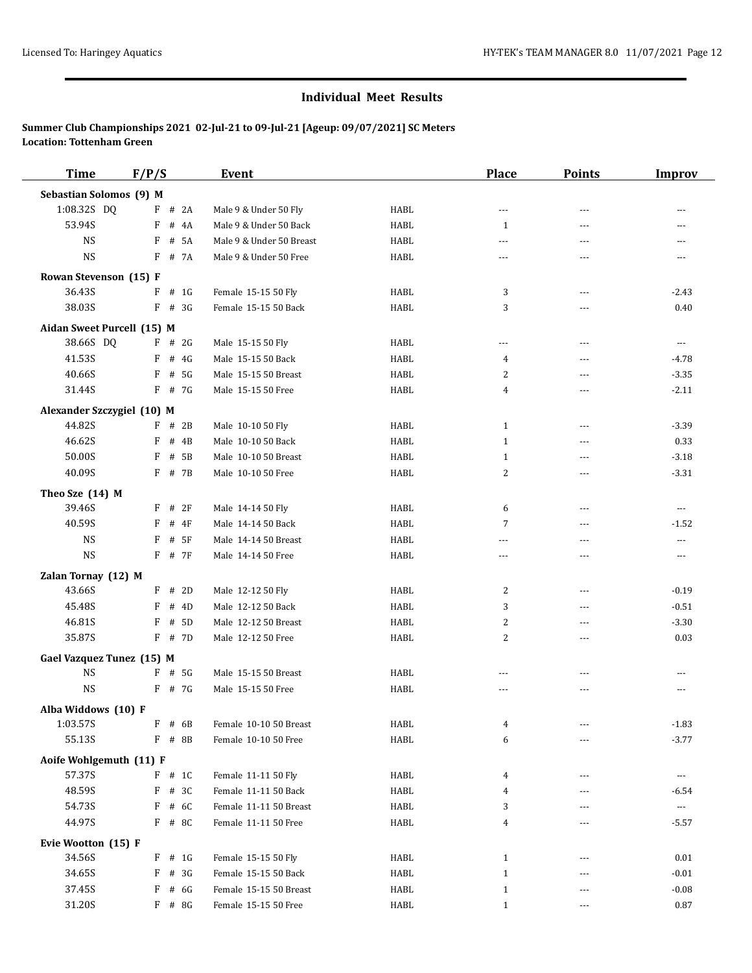| <b>Time</b>                | F/P/S       |          | <b>Event</b>             |             | <b>Place</b>            | <b>Points</b>  | <b>Improv</b>         |
|----------------------------|-------------|----------|--------------------------|-------------|-------------------------|----------------|-----------------------|
| Sebastian Solomos (9) M    |             |          |                          |             |                         |                |                       |
| 1:08.32S DQ                |             | $F$ # 2A | Male 9 & Under 50 Fly    | <b>HABL</b> | $\overline{a}$          | $\overline{a}$ |                       |
| 53.94S                     | F           | # $4A$   | Male 9 & Under 50 Back   | <b>HABL</b> | $\mathbf{1}$            | $- - -$        |                       |
| <b>NS</b>                  | F           | # 5A     | Male 9 & Under 50 Breast | <b>HABL</b> | ---                     | ---            | ---                   |
| <b>NS</b>                  |             | F # 7A   | Male 9 & Under 50 Free   | HABL        | ---                     | ---            | $\cdots$              |
| Rowan Stevenson (15) F     |             |          |                          |             |                         |                |                       |
| 36.43S                     | F           | # 1G     | Female 15-15 50 Fly      | <b>HABL</b> | 3                       | $---$          | $-2.43$               |
| 38.03S                     |             | $F$ # 3G | Female 15-15 50 Back     | HABL        | 3                       | $- - -$        | 0.40                  |
| Aidan Sweet Purcell (15) M |             |          |                          |             |                         |                |                       |
| 38.66S DQ                  |             | $F$ # 2G | Male 15-15 50 Fly        | HABL        | ---                     | $\overline{a}$ | $---$                 |
| 41.53S                     | F           | # 4G     | Male 15-15 50 Back       | <b>HABL</b> | 4                       | $\overline{a}$ | $-4.78$               |
| 40.66S                     | F           | # 5G     | Male 15-15 50 Breast     | HABL        | 2                       | ---            | $-3.35$               |
| 31.44S                     |             | $F$ # 7G | Male 15-15 50 Free       | HABL        | 4                       | $\overline{a}$ | $-2.11$               |
| Alexander Szczygiel (10) M |             |          |                          |             |                         |                |                       |
| 44.82S                     |             | $F$ # 2B | Male 10-10 50 Fly        | HABL        | $\mathbf{1}$            | $---$          | $-3.39$               |
| 46.62S                     | F           | # 4B     | Male 10-10 50 Back       | HABL        | $\mathbf{1}$            | $\cdots$       | 0.33                  |
| 50.00S                     | F           | # 5B     | Male 10-10 50 Breast     | HABL        | 1                       | $---$          | $-3.18$               |
| 40.09S                     | F           | # 7B     | Male 10-10 50 Free       | <b>HABL</b> | $\overline{\mathbf{c}}$ | $\overline{a}$ | $-3.31$               |
| Theo Sze (14) M            |             |          |                          |             |                         |                |                       |
| 39.46S                     | F           | #2F      | Male 14-14 50 Fly        | <b>HABL</b> | 6                       | $\overline{a}$ | $---$                 |
| 40.59S                     | F           | $#$ 4F   | Male 14-14 50 Back       | HABL        | 7                       | $---$          | $-1.52$               |
| <b>NS</b>                  | F           | # 5F     | Male 14-14 50 Breast     | HABL        | $\overline{a}$          | $\overline{a}$ | $\overline{a}$        |
| <b>NS</b>                  | F           | # 7F     | Male 14-14 50 Free       | HABL        | ---                     | $---$          | $\cdots$              |
| Zalan Tornay (12) M        |             |          |                          |             |                         |                |                       |
| 43.66S                     |             | $F$ # 2D | Male 12-12 50 Fly        | HABL        | 2                       | $---$          | $-0.19$               |
| 45.48S                     | F           | # 4D     | Male 12-12 50 Back       | HABL        | 3                       | $---$          | $-0.51$               |
| 46.81S                     | F           | # 5D     | Male 12-12 50 Breast     | HABL        | $\overline{\mathbf{c}}$ | $\overline{a}$ | $-3.30$               |
| 35.87S                     |             | F # 7D   | Male 12-12 50 Free       | HABL        | 2                       | ---            | 0.03                  |
| Gael Vazquez Tunez (15) M  |             |          |                          |             |                         |                |                       |
| <b>NS</b>                  | F           | # 5G     | Male 15-15 50 Breast     | HABL        | $- - -$                 | $---$          | $- - -$               |
| <b>NS</b>                  |             | $F$ # 7G | Male 15-15 50 Free       | HABL        | $\overline{a}$          | $\overline{a}$ | $- - -$               |
| Alba Widdows (10) F        |             |          |                          |             |                         |                |                       |
| 1:03.57S                   | F           | # 6B     | Female 10-10 50 Breast   | HABL        | 4                       | $---$          | $-1.83$               |
| 55.13S                     | F           | # 8B     | Female 10-10 50 Free     | HABL        | 6                       |                | $-3.77$               |
| Aoife Wohlgemuth (11) F    |             |          |                          |             |                         |                |                       |
| 57.37S                     |             | $F$ # 1C | Female 11-11 50 Fly      | HABL        | 4                       | ---            | ---                   |
| 48.59S                     | $\mathbf F$ | # 3C     | Female 11-11 50 Back     | HABL        | 4                       | ---            | $-6.54$               |
| 54.73S                     | F           | # 6C     | Female 11-11 50 Breast   | HABL        | 3                       | ---            | $\scriptstyle \cdots$ |
| 44.97S                     |             | $F$ # 8C | Female 11-11 50 Free     | HABL        | 4                       | ---            | $-5.57$               |
| Evie Wootton (15) F        |             |          |                          |             |                         |                |                       |
| 34.56S                     | F           | # 1G     | Female 15-15 50 Fly      | HABL        | $\mathbf{1}$            | ---            | 0.01                  |
| 34.65S                     | F           | # 3G     | Female 15-15 50 Back     | HABL        | $1\,$                   | $---$          | $-0.01$               |
| 37.45S                     | F           | # 6G     | Female 15-15 50 Breast   | HABL        | $\mathbf{1}$            | $---$          | $-0.08$               |
| 31.20S                     |             | $F$ # 8G | Female 15-15 50 Free     | HABL        | $\mathbf{1}$            | ---            | 0.87                  |